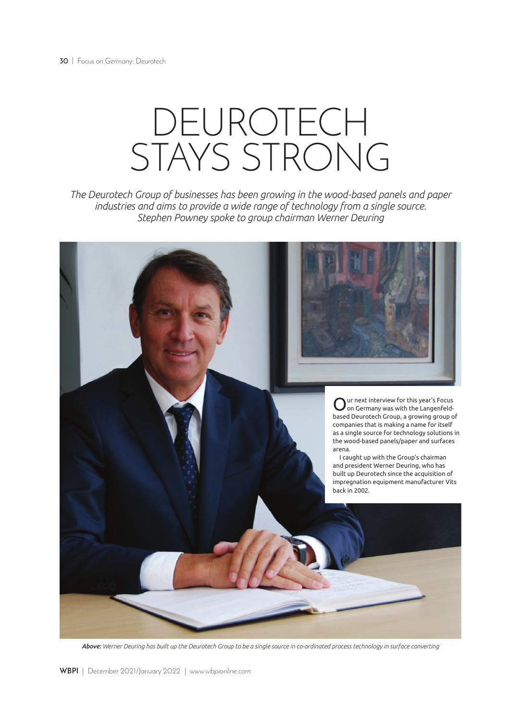## DEUROTECH STAYS STRONG

*The Deurotech Group of businesses has been growing in the wood-based panels and paper industries and aims to provide a wide range of technology from a single source. Stephen Powney spoke to group chairman Werner Deuring*



*Above: Werner Deuring has built up the Deurotech Group to be a single source in co-ordinated process technology in surface converting*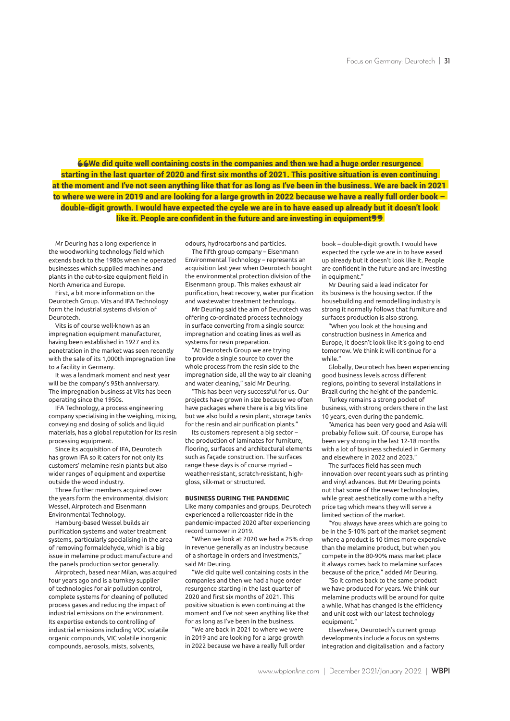66We did quite well containing costs in the companies and then we had a huge order resurgence starting in the last quarter of 2020 and first six months of 2021. This positive situation is even continuing at the moment and I've not seen anything like that for as long as I've been in the business. We are back in 2021 to where we were in 2019 and are looking for a large growth in 2022 because we have a really full order book – double-digit growth. I would have expected the cycle we are in to have eased up already but it doesn't look like it. People are confident in the future and are investing in equipment<sup>99</sup>

Mr Deuring has a long experience in the woodworking technology field which extends back to the 1980s when he operated businesses which supplied machines and plants in the cut-to-size equipment field in North America and Europe.

First, a bit more information on the Deurotech Group. Vits and IFA Technology form the industrial systems division of Deurotech.

Vits is of course well-known as an impregnation equipment manufacturer, having been established in 1927 and its penetration in the market was seen recently with the sale of its 1,000th impregnation line to a facility in Germany.

It was a landmark moment and next year will be the company's 95th anniversary. The impregnation business at Vits has been operating since the 1950s.

IFA Technology, a process engineering company specialising in the weighing, mixing, conveying and dosing of solids and liquid materials, has a global reputation for its resin processing equipment.

Since its acquisition of IFA, Deurotech has grown IFA so it caters for not only its customers' melamine resin plants but also wider ranges of equipment and expertise outside the wood industry.

Three further members acquired over the years form the environmental division: Wessel, Airprotech and Eisenmann Environmental Technology.

Hamburg-based Wessel builds air purification systems and water treatment systems, particularly specialising in the area of removing formaldehyde, which is a big issue in melamine product manufacture and the panels production sector generally.

Airprotech, based near Milan, was acquired four years ago and is a turnkey supplier of technologies for air pollution control, complete systems for cleaning of polluted process gases and reducing the impact of industrial emissions on the environment. Its expertise extends to controlling of industrial emissions including VOC volatile organic compounds, VIC volatile inorganic compounds, aerosols, mists, solvents,

odours, hydrocarbons and particles.

The fifth group company – Eisenmann Environmental Technology – represents an acquisition last year when Deurotech bought the environmental protection division of the Eisenmann group. This makes exhaust air purification, heat recovery, water purification and wastewater treatment technology.

Mr Deuring said the aim of Deurotech was offering co-ordinated process technology in surface converting from a single source: impregnation and coating lines as well as systems for resin preparation.

"At Deurotech Group we are trying to provide a single source to cover the whole process from the resin side to the impregnation side, all the way to air cleaning and water cleaning," said Mr Deuring.

"This has been very successful for us. Our projects have grown in size because we often have packages where there is a big Vits line but we also build a resin plant, storage tanks for the resin and air purification plants."

Its customers represent a big sector – the production of laminates for furniture, flooring, surfaces and architectural elements such as façade construction. The surfaces range these days is of course myriad – weather-resistant, scratch-resistant, highgloss, silk-mat or structured.

## **BUSINESS DURING THE PANDEMIC**

Like many companies and groups, Deurotech experienced a rollercoaster ride in the pandemic-impacted 2020 after experiencing record turnover in 2019.

"When we look at 2020 we had a 25% drop in revenue generally as an industry because of a shortage in orders and investments," said Mr Deuring.

"We did quite well containing costs in the companies and then we had a huge order resurgence starting in the last quarter of 2020 and first six months of 2021. This positive situation is even continuing at the moment and I've not seen anything like that for as long as I've been in the business.

"We are back in 2021 to where we were in 2019 and are looking for a large growth in 2022 because we have a really full order book – double-digit growth. I would have expected the cycle we are in to have eased up already but it doesn't look like it. People are confident in the future and are investing in equipment."

Mr Deuring said a lead indicator for its business is the housing sector. If the housebuilding and remodelling industry is strong it normally follows that furniture and surfaces production is also strong.

"When you look at the housing and construction business in America and Europe, it doesn't look like it's going to end tomorrow. We think it will continue for a while."

Globally, Deurotech has been experiencing good business levels across different regions, pointing to several installations in Brazil during the height of the pandemic.

Turkey remains a strong pocket of business, with strong orders there in the last 10 years, even during the pandemic.

"America has been very good and Asia will probably follow suit. Of course, Europe has been very strong in the last 12-18 months with a lot of business scheduled in Germany and elsewhere in 2022 and 2023."

The surfaces field has seen much innovation over recent years such as printing and vinyl advances. But Mr Deuring points out that some of the newer technologies, while great aesthetically come with a hefty price tag which means they will serve a limited section of the market.

"You always have areas which are going to be in the 5-10% part of the market segment where a product is 10 times more expensive than the melamine product, but when you compete in the 80-90% mass market place it always comes back to melamine surfaces because of the price," added Mr Deuring.

"So it comes back to the same product we have produced for years. We think our melamine products will be around for quite a while. What has changed is the efficiency and unit cost with our latest technology equipment."

Elsewhere, Deurotech's current group developments include a focus on systems integration and digitalisation and a factory